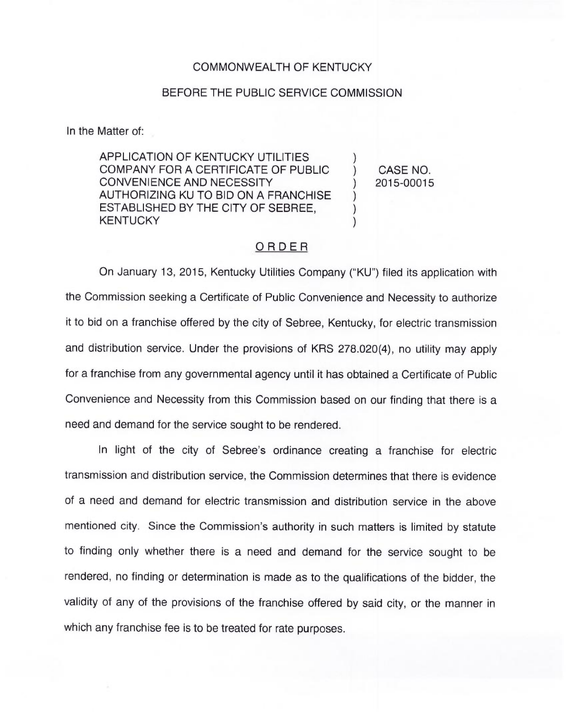## COMMONWEALTH OF KENTUCKY

## BEFORE THE PUBLIC SERVICE COMMISSION

In the Matter of:

APPLICATION OF KENTUCKY UTILITIES COMPANY FOR A CERTIFICATE OF PUBLIC CONVENIENCE AND NECESSITY AUTHORIZING KU TO BID ON A FRANCHISE ESTABLISHED BY THE CITY OF SEBREE, **KENTUCKY** 

) CASE NO. ) 2015-00015

)

 $\overline{\phantom{a}}$ ) )

## ORDER

On January 13, 2015, Kentucky Utilities Company ("KU") filed its application with the Commission seeking a Certificate of Public Convenience and Necessity to authorize it to bid on a franchise offered by the city of Sebree, Kentucky, for electric transmission and distribution service. Under the provisions of KRS 278.020(4), no utility may apply for a franchise from any governmental agency until it has obtained a Certificate of Public Convenience and Necessity from this Commission based on our finding that there is a need and demand for the service sought to be rendered.

In light of the city of Sebree's ordinance creating a franchise for electric transmission and distribution service, the Commission determines that there is evidence of a need and demand for electric transmission and distribution service in the above mentioned city. Since the Commission's authority in such matters is limited by statute to finding only whether there is a need and demand for the service sought to be rendered, no finding or determination is made as to the qualifications of the bidder, the validity of any of the provisions of the franchise offered by said city, or the manner in which any franchise fee is to be treated for rate purposes.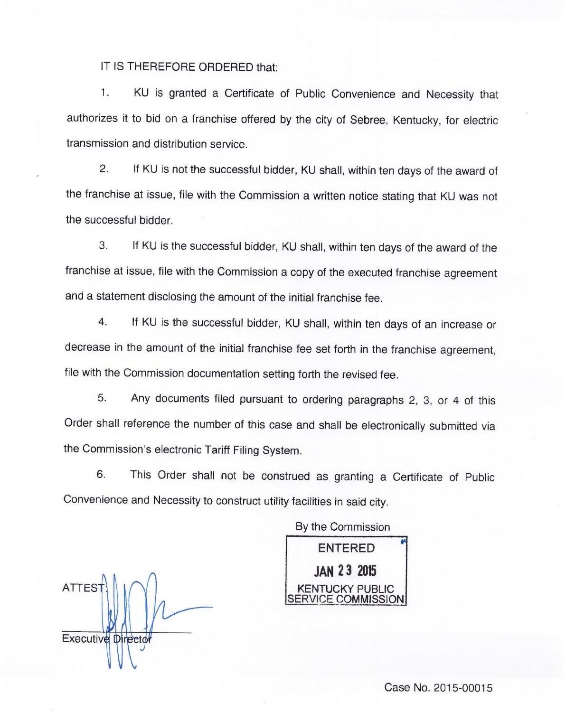## IT IS THEREFORE ORDERED that:

1. KU is granted a Certificate of Public Convenience and Necessity that authorizes it to bid on a franchise offered by the city of Sebree, Kentucky, for electric transmission and distribution service.

2. If KU is not the successful bidder, KU shall, within ten days of the award of the franchise at issue, file with the Commission a written notice stating that KU was not the successful bidder.

3. If KU is the successful bidder, KU shall, within ten days of the award of the franchise at issue, file with the Commission a copy of the executed franchise agreement and a statement disclosing the amount of the initial franchise fee.

4. If KU is the successful bidder, KU shall, within ten days of an increase or decrease in the amount of the initial franchise fee set forth in the franchise agreement, file with the Commission documentation setting forth the revised fee.

5. Any documents filed pursuant to ordering paragraphs 2, 3, or 4 of this Order shall reference the number of this case and shall be electronically submitted via the Commission's electronic Tariff Filing System.

6. This Order shall not be construed as granting a Certificate of Public Convenience and Necessity to construct utility facilities in said city.

By the Commission

ATTES **Executive Director** 

ENTERED JAN 23 2015 **KENTUCKY PUBL** /ICE COMMISSION

Case No. 2015-00015